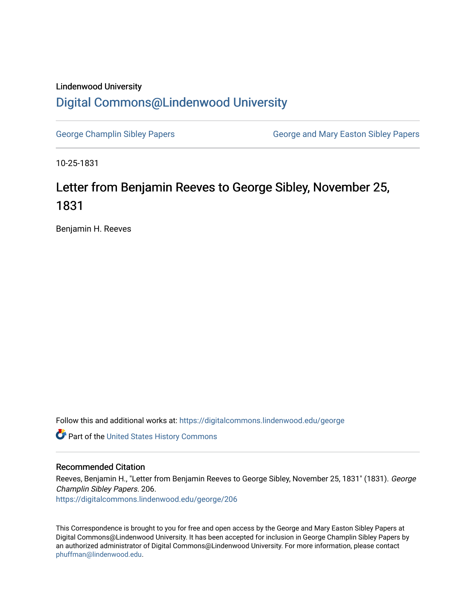## Lindenwood University [Digital Commons@Lindenwood University](https://digitalcommons.lindenwood.edu/)

[George Champlin Sibley Papers](https://digitalcommons.lindenwood.edu/george) George and Mary Easton Sibley Papers

10-25-1831

## Letter from Benjamin Reeves to George Sibley, November 25, 1831

Benjamin H. Reeves

Follow this and additional works at: [https://digitalcommons.lindenwood.edu/george](https://digitalcommons.lindenwood.edu/george?utm_source=digitalcommons.lindenwood.edu%2Fgeorge%2F206&utm_medium=PDF&utm_campaign=PDFCoverPages)

Part of the [United States History Commons](http://network.bepress.com/hgg/discipline/495?utm_source=digitalcommons.lindenwood.edu%2Fgeorge%2F206&utm_medium=PDF&utm_campaign=PDFCoverPages) 

## Recommended Citation

Reeves, Benjamin H., "Letter from Benjamin Reeves to George Sibley, November 25, 1831" (1831). George Champlin Sibley Papers. 206. [https://digitalcommons.lindenwood.edu/george/206](https://digitalcommons.lindenwood.edu/george/206?utm_source=digitalcommons.lindenwood.edu%2Fgeorge%2F206&utm_medium=PDF&utm_campaign=PDFCoverPages)

This Correspondence is brought to you for free and open access by the George and Mary Easton Sibley Papers at Digital Commons@Lindenwood University. It has been accepted for inclusion in George Champlin Sibley Papers by an authorized administrator of Digital Commons@Lindenwood University. For more information, please contact [phuffman@lindenwood.edu](mailto:phuffman@lindenwood.edu).